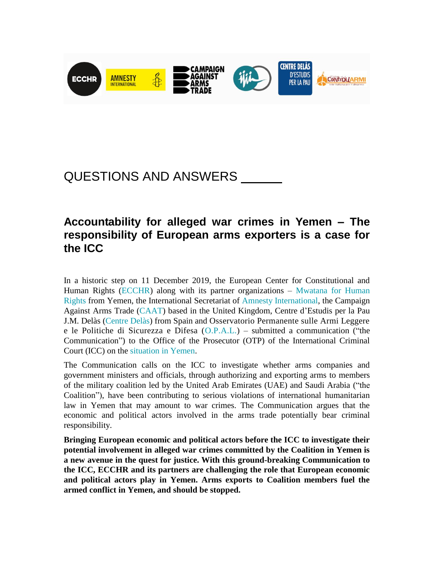

# QUESTIONS AND ANSWERS

## **Accountability for alleged war crimes in Yemen – The responsibility of European arms exporters is a case for the ICC**

In a historic step on 11 December 2019, the European Center for Constitutional and Human Rights [\(ECCHR\)](https://www.ecchr.eu/en) along with its partner organizations – [Mwatana for Human](https://mwatana.org/en/)  [Rights](https://mwatana.org/en/) from Yemen, the International Secretariat of [Amnesty International,](https://www.amnesty.org/en/) the Campaign Against Arms Trade [\(CAAT\)](https://www.caat.org.uk/) based in the United Kingdom, Centre d'Estudis per la Pau J.M. Delàs [\(Centre Delàs\)](http://www.centredelas.org/en/) from Spain and Osservatorio Permanente sulle Armi Leggere e le Politiche di Sicurezza e Difesa [\(O.P.A.L.\)](http://opalbrescia.altervista.org/) – submitted a communication ("the Communication") to the Office of the Prosecutor (OTP) of the International Criminal Court (ICC) on the [situation in Yemen.](https://www.ecchr.eu/icc-yemen)

The Communication calls on the ICC to investigate whether arms companies and government ministers and officials, through authorizing and exporting arms to members of the military coalition led by the United Arab Emirates (UAE) and Saudi Arabia ("the Coalition"), have been contributing to serious violations of international humanitarian law in Yemen that may amount to war crimes. The Communication argues that the economic and political actors involved in the arms trade potentially bear criminal responsibility.

**Bringing European economic and political actors before the ICC to investigate their potential involvement in alleged war crimes committed by the Coalition in Yemen is a new avenue in the quest for justice. With this ground-breaking Communication to the ICC, ECCHR and its partners are challenging the role that European economic and political actors play in Yemen. Arms exports to Coalition members fuel the armed conflict in Yemen, and should be stopped.**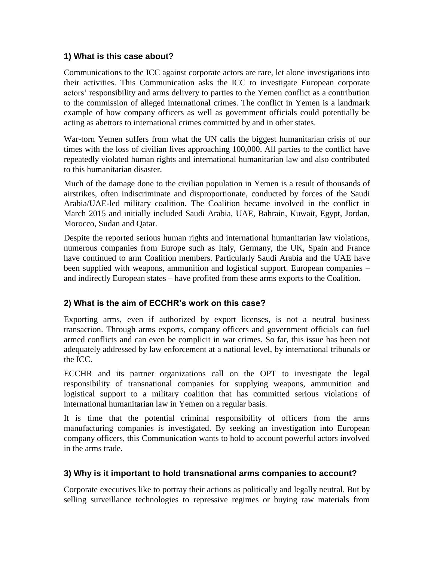#### **1) What is this case about?**

Communications to the ICC against corporate actors are rare, let alone investigations into their activities. This Communication asks the ICC to investigate European corporate actors' responsibility and arms delivery to parties to the Yemen conflict as a contribution to the commission of alleged international crimes. The conflict in Yemen is a landmark example of how company officers as well as government officials could potentially be acting as abettors to international crimes committed by and in other states.

War-torn Yemen suffers from what the UN calls the biggest humanitarian crisis of our times with the loss of civilian lives approaching 100,000. All parties to the conflict have repeatedly violated human rights and international humanitarian law and also contributed to this humanitarian disaster.

Much of the damage done to the civilian population in Yemen is a result of thousands of airstrikes, often indiscriminate and disproportionate, conducted by forces of the Saudi Arabia/UAE-led military coalition. The Coalition became involved in the conflict in March 2015 and initially included Saudi Arabia, UAE, Bahrain, Kuwait, Egypt, Jordan, Morocco, Sudan and Qatar.

Despite the reported serious human rights and international humanitarian law violations, numerous companies from Europe such as Italy, Germany, the UK, Spain and France have continued to arm Coalition members. Particularly Saudi Arabia and the UAE have been supplied with weapons, ammunition and logistical support. European companies – and indirectly European states – have profited from these arms exports to the Coalition.

#### **2) What is the aim of ECCHR's work on this case?**

Exporting arms, even if authorized by export licenses, is not a neutral business transaction. Through arms exports, company officers and government officials can fuel armed conflicts and can even be complicit in war crimes. So far, this issue has been not adequately addressed by law enforcement at a national level, by international tribunals or the ICC.

ECCHR and its partner organizations call on the OPT to investigate the legal responsibility of transnational companies for supplying weapons, ammunition and logistical support to a military coalition that has committed serious violations of international humanitarian law in Yemen on a regular basis.

It is time that the potential criminal responsibility of officers from the arms manufacturing companies is investigated. By seeking an investigation into European company officers, this Communication wants to hold to account powerful actors involved in the arms trade.

#### **3) Why is it important to hold transnational arms companies to account?**

Corporate executives like to portray their actions as politically and legally neutral. But by selling surveillance technologies to repressive regimes or buying raw materials from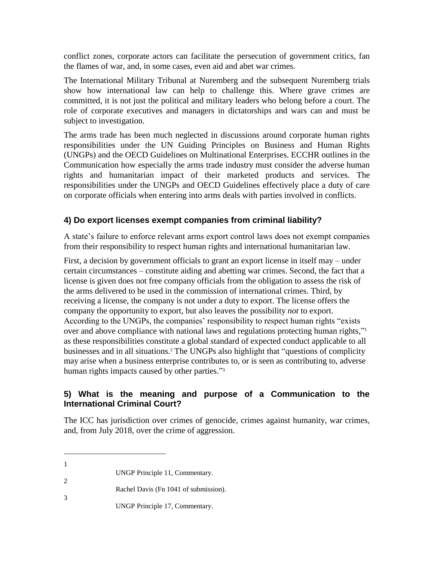conflict zones, corporate actors can facilitate the persecution of government critics, fan the flames of war, and, in some cases, even aid and abet war crimes.

The International Military Tribunal at Nuremberg and the subsequent Nuremberg trials show how international law can help to challenge this. Where grave crimes are committed, it is not just the political and military leaders who belong before a court. The role of corporate executives and managers in dictatorships and wars can and must be subject to investigation.

The arms trade has been much neglected in discussions around corporate human rights responsibilities under the UN Guiding Principles on Business and Human Rights (UNGPs) and the OECD Guidelines on Multinational Enterprises. ECCHR outlines in the Communication how especially the arms trade industry must consider the adverse human rights and humanitarian impact of their marketed products and services. The responsibilities under the UNGPs and OECD Guidelines effectively place a duty of care on corporate officials when entering into arms deals with parties involved in conflicts.

#### **4) Do export licenses exempt companies from criminal liability?**

A state's failure to enforce relevant arms export control laws does not exempt companies from their responsibility to respect human rights and international humanitarian law.

First, a decision by government officials to grant an export license in itself may – under certain circumstances – constitute aiding and abetting war crimes. Second, the fact that a license is given does not free company officials from the obligation to assess the risk of the arms delivered to be used in the commission of international crimes. Third, by receiving a license, the company is not under a duty to export. The license offers the company the opportunity to export, but also leaves the possibility *not* to export. According to the UNGPs, the companies' responsibility to respect human rights "exists over and above compliance with national laws and regulations protecting human rights,"<sup>1</sup> as these responsibilities constitute a global standard of expected conduct applicable to all businesses and in all situations.<sup>2</sup> The UNGPs also highlight that "questions of complicity may arise when a business enterprise contributes to, or is seen as contributing to, adverse human rights impacts caused by other parties."<sup>3</sup>

#### **5) What is the meaning and purpose of a Communication to the International Criminal Court?**

The ICC has jurisdiction over crimes of genocide, crimes against humanity, war crimes, and, from July 2018, over the crime of aggression.

 $\overline{a}$ 

2

- Rachel Davis (Fn 1041 of submission).
- 3 UNGP Principle 17, Commentary.

<sup>1</sup> UNGP Principle 11, Commentary.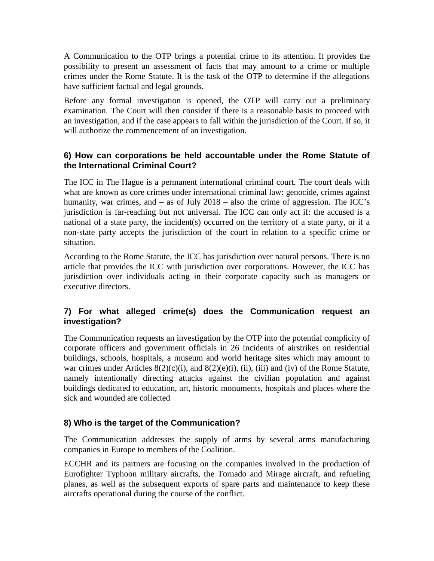A Communication to the OTP brings a potential crime to its attention. It provides the possibility to present an assessment of facts that may amount to a crime or multiple crimes under the Rome Statute. It is the task of the OTP to determine if the allegations have sufficient factual and legal grounds.

Before any formal investigation is opened, the OTP will carry out a preliminary examination. The Court will then consider if there is a reasonable basis to proceed with an investigation, and if the case appears to fall within the jurisdiction of the Court. If so, it will authorize the commencement of an investigation.

#### **6) How can corporations be held accountable under the Rome Statute of the International Criminal Court?**

The ICC in The Hague is a permanent international criminal court. The court deals with what are known as core crimes under international criminal law: genocide, crimes against humanity, war crimes, and – as of July 2018 – also the crime of aggression. The ICC's jurisdiction is far-reaching but not universal. The ICC can only act if: the accused is a national of a state party, the incident(s) occurred on the territory of a state party, or if a non-state party accepts the jurisdiction of the court in relation to a specific crime or situation.

According to the Rome Statute, the ICC has jurisdiction over natural persons. There is no article that provides the ICC with jurisdiction over corporations. However, the ICC has jurisdiction over individuals acting in their corporate capacity such as managers or executive directors.

### **7) For what alleged crime(s) does the Communication request an investigation?**

The Communication requests an investigation by the OTP into the potential complicity of corporate officers and government officials in 26 incidents of airstrikes on residential buildings, schools, hospitals, a museum and world heritage sites which may amount to war crimes under Articles  $8(2)(c)(i)$ , and  $8(2)(e)(i)$ , (ii), (iii) and (iv) of the Rome Statute, namely intentionally directing attacks against the civilian population and against buildings dedicated to education, art, historic monuments, hospitals and places where the sick and wounded are collected

#### **8) Who is the target of the Communication?**

The Communication addresses the supply of arms by several arms manufacturing companies in Europe to members of the Coalition.

ECCHR and its partners are focusing on the companies involved in the production of Eurofighter Typhoon military aircrafts, the Tornado and Mirage aircraft, and refueling planes, as well as the subsequent exports of spare parts and maintenance to keep these aircrafts operational during the course of the conflict.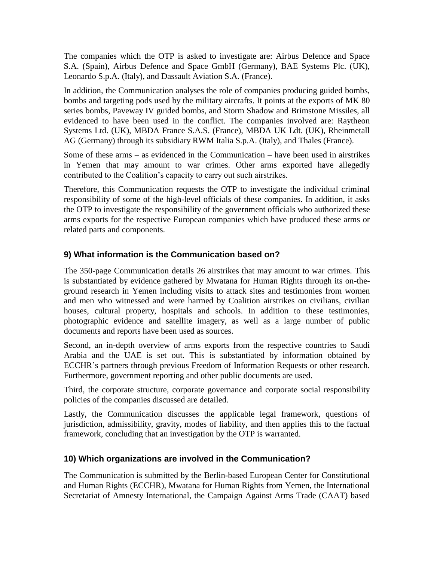The companies which the OTP is asked to investigate are: Airbus Defence and Space S.A. (Spain), Airbus Defence and Space GmbH (Germany), BAE Systems Plc. (UK), Leonardo S.p.A. (Italy), and Dassault Aviation S.A. (France).

In addition, the Communication analyses the role of companies producing guided bombs, bombs and targeting pods used by the military aircrafts. It points at the exports of MK 80 series bombs, Paveway IV guided bombs, and Storm Shadow and Brimstone Missiles, all evidenced to have been used in the conflict. The companies involved are: Raytheon Systems Ltd. (UK), MBDA France S.A.S. (France), MBDA UK Ldt. (UK), Rheinmetall AG (Germany) through its subsidiary RWM Italia S.p.A. (Italy), and Thales (France).

Some of these arms – as evidenced in the Communication – have been used in airstrikes in Yemen that may amount to war crimes. Other arms exported have allegedly contributed to the Coalition's capacity to carry out such airstrikes.

Therefore, this Communication requests the OTP to investigate the individual criminal responsibility of some of the high-level officials of these companies. In addition, it asks the OTP to investigate the responsibility of the government officials who authorized these arms exports for the respective European companies which have produced these arms or related parts and components.

#### **9) What information is the Communication based on?**

The 350-page Communication details 26 airstrikes that may amount to war crimes. This is substantiated by evidence gathered by Mwatana for Human Rights through its on-theground research in Yemen including visits to attack sites and testimonies from women and men who witnessed and were harmed by Coalition airstrikes on civilians, civilian houses, cultural property, hospitals and schools. In addition to these testimonies, photographic evidence and satellite imagery, as well as a large number of public documents and reports have been used as sources.

Second, an in-depth overview of arms exports from the respective countries to Saudi Arabia and the UAE is set out. This is substantiated by information obtained by ECCHR's partners through previous Freedom of Information Requests or other research. Furthermore, government reporting and other public documents are used.

Third, the corporate structure, corporate governance and corporate social responsibility policies of the companies discussed are detailed.

Lastly, the Communication discusses the applicable legal framework, questions of jurisdiction, admissibility, gravity, modes of liability, and then applies this to the factual framework, concluding that an investigation by the OTP is warranted.

#### **10) Which organizations are involved in the Communication?**

The Communication is submitted by the Berlin-based European Center for Constitutional and Human Rights (ECCHR), Mwatana for Human Rights from Yemen, the International Secretariat of Amnesty International, the Campaign Against Arms Trade (CAAT) based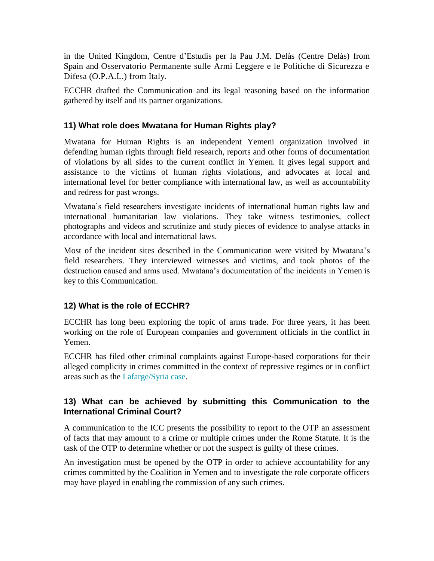in the United Kingdom, Centre d'Estudis per la Pau J.M. Delàs (Centre Delàs) from Spain and Osservatorio Permanente sulle Armi Leggere e le Politiche di Sicurezza e Difesa (O.P.A.L.) from Italy.

ECCHR drafted the Communication and its legal reasoning based on the information gathered by itself and its partner organizations.

#### **11) What role does Mwatana for Human Rights play?**

Mwatana for Human Rights is an independent Yemeni organization involved in defending human rights through field research, reports and other forms of documentation of violations by all sides to the current conflict in Yemen. It gives legal support and assistance to the victims of human rights violations, and advocates at local and international level for better compliance with international law, as well as accountability and redress for past wrongs.

Mwatana's field researchers investigate incidents of international human rights law and international humanitarian law violations. They take witness testimonies, collect photographs and videos and scrutinize and study pieces of evidence to analyse attacks in accordance with local and international laws.

Most of the incident sites described in the Communication were visited by Mwatana's field researchers. They interviewed witnesses and victims, and took photos of the destruction caused and arms used. Mwatana's documentation of the incidents in Yemen is key to this Communication.

#### **12) What is the role of ECCHR?**

ECCHR has long been exploring the topic of arms trade. For three years, it has been working on the role of European companies and government officials in the conflict in Yemen.

ECCHR has filed other criminal complaints against Europe-based corporations for their alleged complicity in crimes committed in the context of repressive regimes or in conflict areas such as the [Lafarge/Syria case.](https://www.ecchr.eu/en/case/lafarge-in-syria-accusations-of-complicity-in-grave-human-rights-violations/)

#### **13) What can be achieved by submitting this Communication to the International Criminal Court?**

A communication to the ICC presents the possibility to report to the OTP an assessment of facts that may amount to a crime or multiple crimes under the Rome Statute. It is the task of the OTP to determine whether or not the suspect is guilty of these crimes.

An investigation must be opened by the OTP in order to achieve accountability for any crimes committed by the Coalition in Yemen and to investigate the role corporate officers may have played in enabling the commission of any such crimes.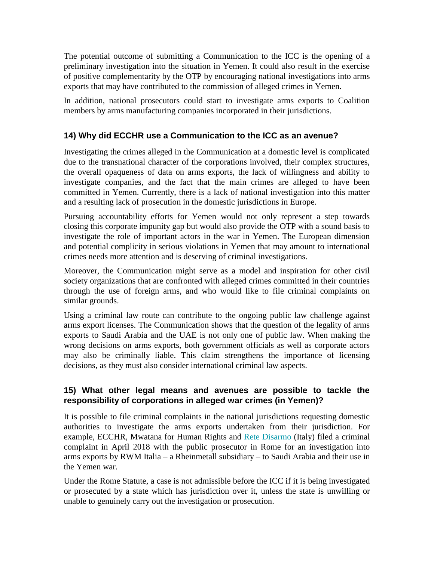The potential outcome of submitting a Communication to the ICC is the opening of a preliminary investigation into the situation in Yemen. It could also result in the exercise of positive complementarity by the OTP by encouraging national investigations into arms exports that may have contributed to the commission of alleged crimes in Yemen.

In addition, national prosecutors could start to investigate arms exports to Coalition members by arms manufacturing companies incorporated in their jurisdictions.

#### **14) Why did ECCHR use a Communication to the ICC as an avenue?**

Investigating the crimes alleged in the Communication at a domestic level is complicated due to the transnational character of the corporations involved, their complex structures, the overall opaqueness of data on arms exports, the lack of willingness and ability to investigate companies, and the fact that the main crimes are alleged to have been committed in Yemen. Currently, there is a lack of national investigation into this matter and a resulting lack of prosecution in the domestic jurisdictions in Europe.

Pursuing accountability efforts for Yemen would not only represent a step towards closing this corporate impunity gap but would also provide the OTP with a sound basis to investigate the role of important actors in the war in Yemen. The European dimension and potential complicity in serious violations in Yemen that may amount to international crimes needs more attention and is deserving of criminal investigations.

Moreover, the Communication might serve as a model and inspiration for other civil society organizations that are confronted with alleged crimes committed in their countries through the use of foreign arms, and who would like to file criminal complaints on similar grounds.

Using a criminal law route can contribute to the ongoing public law challenge against arms export licenses. The Communication shows that the question of the legality of arms exports to Saudi Arabia and the UAE is not only one of public law. When making the wrong decisions on arms exports, both government officials as well as corporate actors may also be criminally liable. This claim strengthens the importance of licensing decisions, as they must also consider international criminal law aspects.

#### **15) What other legal means and avenues are possible to tackle the responsibility of corporations in alleged war crimes (in Yemen)?**

It is possible to file criminal complaints in the national jurisdictions requesting domestic authorities to investigate the arms exports undertaken from their jurisdiction. For example, ECCHR, Mwatana for Human Rights and [Rete Disarmo](https://www.disarmo.org/) (Italy) filed a criminal complaint in April 2018 with the public prosecutor in Rome for an investigation into arms exports by RWM Italia – a Rheinmetall subsidiary – to Saudi Arabia and their use in the Yemen war.

Under the Rome Statute, a case is not admissible before the ICC if it is being investigated or prosecuted by a state which has jurisdiction over it, unless the state is unwilling or unable to genuinely carry out the investigation or prosecution.